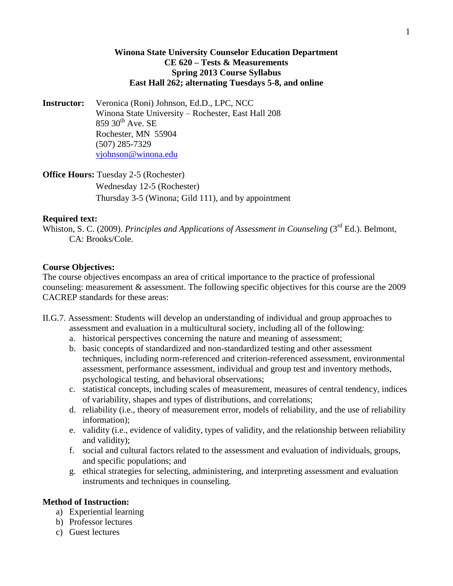# **Winona State University Counselor Education Department CE 620 – Tests & Measurements Spring 2013 Course Syllabus East Hall 262; alternating Tuesdays 5-8, and online**

**Instructor:** Veronica (Roni) Johnson, Ed.D., LPC, NCC Winona State University – Rochester, East Hall 208  $859$   $30^{th}$  Ave. SE Rochester, MN 55904 (507) 285-7329 [vjohnson@winona.edu](mailto:vjohnson@winona.edu)

**Office Hours:** Tuesday 2-5 (Rochester) Wednesday 12-5 (Rochester) Thursday 3-5 (Winona; Gild 111), and by appointment

# **Required text:**

Whiston, S. C. (2009). *Principles and Applications of Assessment in Counseling* (3<sup>rd</sup> Ed.). Belmont, CA: Brooks/Cole.

# **Course Objectives:**

The course objectives encompass an area of critical importance to the practice of professional counseling: measurement & assessment. The following specific objectives for this course are the 2009 CACREP standards for these areas:

- II.G.7. Assessment: Students will develop an understanding of individual and group approaches to assessment and evaluation in a multicultural society, including all of the following:
	- a. historical perspectives concerning the nature and meaning of assessment;
	- b. basic concepts of standardized and non-standardized testing and other assessment techniques, including norm-referenced and criterion-referenced assessment, environmental assessment, performance assessment, individual and group test and inventory methods, psychological testing, and behavioral observations;
	- c. statistical concepts, including scales of measurement, measures of central tendency, indices of variability, shapes and types of distributions, and correlations;
	- d. reliability (i.e., theory of measurement error, models of reliability, and the use of reliability information);
	- e. validity (i.e., evidence of validity, types of validity, and the relationship between reliability and validity);
	- f. social and cultural factors related to the assessment and evaluation of individuals, groups, and specific populations; and
	- g. ethical strategies for selecting, administering, and interpreting assessment and evaluation instruments and techniques in counseling.

### **Method of Instruction:**

- a) Experiential learning
- b) Professor lectures
- c) Guest lectures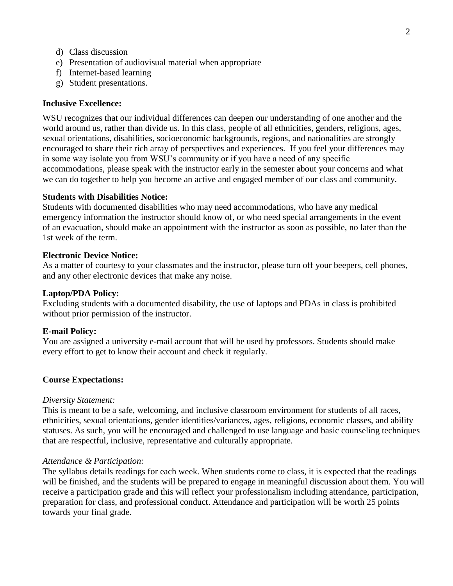- d) Class discussion
- e) Presentation of audiovisual material when appropriate
- f) Internet-based learning
- g) Student presentations.

### **Inclusive Excellence:**

WSU recognizes that our individual differences can deepen our understanding of one another and the world around us, rather than divide us. In this class, people of all ethnicities, genders, religions, ages, sexual orientations, disabilities, socioeconomic backgrounds, regions, and nationalities are strongly encouraged to share their rich array of perspectives and experiences. If you feel your differences may in some way isolate you from WSU's community or if you have a need of any specific accommodations, please speak with the instructor early in the semester about your concerns and what we can do together to help you become an active and engaged member of our class and community.

### **Students with Disabilities Notice:**

Students with documented disabilities who may need accommodations, who have any medical emergency information the instructor should know of, or who need special arrangements in the event of an evacuation, should make an appointment with the instructor as soon as possible, no later than the 1st week of the term.

### **Electronic Device Notice:**

As a matter of courtesy to your classmates and the instructor, please turn off your beepers, cell phones, and any other electronic devices that make any noise.

### **Laptop/PDA Policy:**

Excluding students with a documented disability, the use of laptops and PDAs in class is prohibited without prior permission of the instructor.

### **E-mail Policy:**

You are assigned a university e-mail account that will be used by professors. Students should make every effort to get to know their account and check it regularly.

### **Course Expectations:**

#### *Diversity Statement:*

This is meant to be a safe, welcoming, and inclusive classroom environment for students of all races, ethnicities, sexual orientations, gender identities/variances, ages, religions, economic classes, and ability statuses. As such, you will be encouraged and challenged to use language and basic counseling techniques that are respectful, inclusive, representative and culturally appropriate.

### *Attendance & Participation:*

The syllabus details readings for each week. When students come to class, it is expected that the readings will be finished, and the students will be prepared to engage in meaningful discussion about them. You will receive a participation grade and this will reflect your professionalism including attendance, participation, preparation for class, and professional conduct. Attendance and participation will be worth 25 points towards your final grade.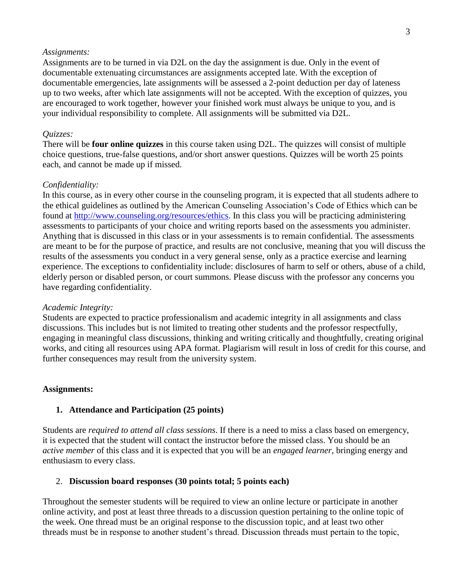### *Assignments:*

Assignments are to be turned in via D2L on the day the assignment is due. Only in the event of documentable extenuating circumstances are assignments accepted late. With the exception of documentable emergencies, late assignments will be assessed a 2-point deduction per day of lateness up to two weeks, after which late assignments will not be accepted. With the exception of quizzes, you are encouraged to work together, however your finished work must always be unique to you, and is your individual responsibility to complete. All assignments will be submitted via D2L.

# *Quizzes:*

There will be **four online quizzes** in this course taken using D2L. The quizzes will consist of multiple choice questions, true-false questions, and/or short answer questions. Quizzes will be worth 25 points each, and cannot be made up if missed.

### *Confidentiality:*

In this course, as in every other course in the counseling program, it is expected that all students adhere to the ethical guidelines as outlined by the American Counseling Association's Code of Ethics which can be found at [http://www.counseling.org/resources/ethics.](http://www.counseling.org/resources/ethics) In this class you will be practicing administering assessments to participants of your choice and writing reports based on the assessments you administer. Anything that is discussed in this class or in your assessments is to remain confidential. The assessments are meant to be for the purpose of practice, and results are not conclusive, meaning that you will discuss the results of the assessments you conduct in a very general sense, only as a practice exercise and learning experience. The exceptions to confidentiality include: disclosures of harm to self or others, abuse of a child, elderly person or disabled person, or court summons. Please discuss with the professor any concerns you have regarding confidentiality.

### *Academic Integrity:*

Students are expected to practice professionalism and academic integrity in all assignments and class discussions. This includes but is not limited to treating other students and the professor respectfully, engaging in meaningful class discussions, thinking and writing critically and thoughtfully, creating original works, and citing all resources using APA format. Plagiarism will result in loss of credit for this course, and further consequences may result from the university system.

### **Assignments:**

### **1. Attendance and Participation (25 points)**

Students are *required to attend all class sessions*. If there is a need to miss a class based on emergency, it is expected that the student will contact the instructor before the missed class. You should be an *active member* of this class and it is expected that you will be an *engaged learner*, bringing energy and enthusiasm to every class.

### 2. **Discussion board responses (30 points total; 5 points each)**

Throughout the semester students will be required to view an online lecture or participate in another online activity, and post at least three threads to a discussion question pertaining to the online topic of the week. One thread must be an original response to the discussion topic, and at least two other threads must be in response to another student's thread. Discussion threads must pertain to the topic,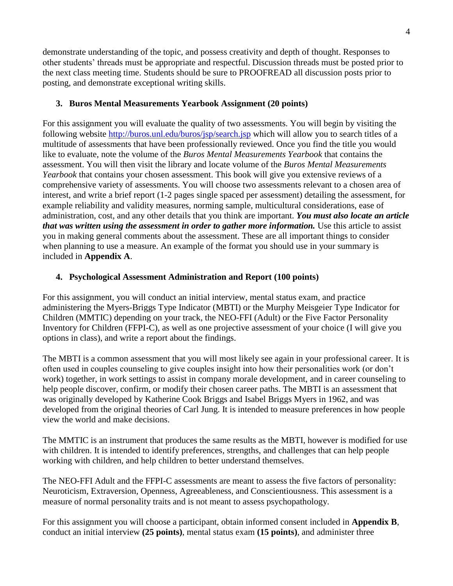demonstrate understanding of the topic, and possess creativity and depth of thought. Responses to other students' threads must be appropriate and respectful. Discussion threads must be posted prior to the next class meeting time. Students should be sure to PROOFREAD all discussion posts prior to posting, and demonstrate exceptional writing skills.

# **3. Buros Mental Measurements Yearbook Assignment (20 points)**

For this assignment you will evaluate the quality of two assessments. You will begin by visiting the following website<http://buros.unl.edu/buros/jsp/search.jsp> which will allow you to search titles of a multitude of assessments that have been professionally reviewed. Once you find the title you would like to evaluate, note the volume of the *Buros Mental Measurements Yearbook* that contains the assessment. You will then visit the library and locate volume of the *Buros Mental Measurements Yearbook* that contains your chosen assessment. This book will give you extensive reviews of a comprehensive variety of assessments. You will choose two assessments relevant to a chosen area of interest, and write a brief report (1-2 pages single spaced per assessment) detailing the assessment, for example reliability and validity measures, norming sample, multicultural considerations, ease of administration, cost, and any other details that you think are important. *You must also locate an article that was written using the assessment in order to gather more information.* Use this article to assist you in making general comments about the assessment. These are all important things to consider when planning to use a measure. An example of the format you should use in your summary is included in **Appendix A**.

# **4. Psychological Assessment Administration and Report (100 points)**

For this assignment, you will conduct an initial interview, mental status exam, and practice administering the Myers-Briggs Type Indicator (MBTI) or the Murphy Meisgeier Type Indicator for Children (MMTIC) depending on your track, the NEO-FFI (Adult) or the Five Factor Personality Inventory for Children (FFPI-C), as well as one projective assessment of your choice (I will give you options in class), and write a report about the findings.

The MBTI is a common assessment that you will most likely see again in your professional career. It is often used in couples counseling to give couples insight into how their personalities work (or don't work) together, in work settings to assist in company morale development, and in career counseling to help people discover, confirm, or modify their chosen career paths. The MBTI is an assessment that was originally developed by Katherine Cook Briggs and Isabel Briggs Myers in 1962, and was developed from the original theories of Carl Jung. It is intended to measure preferences in how people view the world and make decisions.

The MMTIC is an instrument that produces the same results as the MBTI, however is modified for use with children. It is intended to identify preferences, strengths, and challenges that can help people working with children, and help children to better understand themselves.

The NEO-FFI Adult and the FFPI-C assessments are meant to assess the five factors of personality: Neuroticism, Extraversion, Openness, Agreeableness, and Conscientiousness. This assessment is a measure of normal personality traits and is not meant to assess psychopathology.

For this assignment you will choose a participant, obtain informed consent included in **Appendix B**, conduct an initial interview **(25 points)**, mental status exam **(15 points)**, and administer three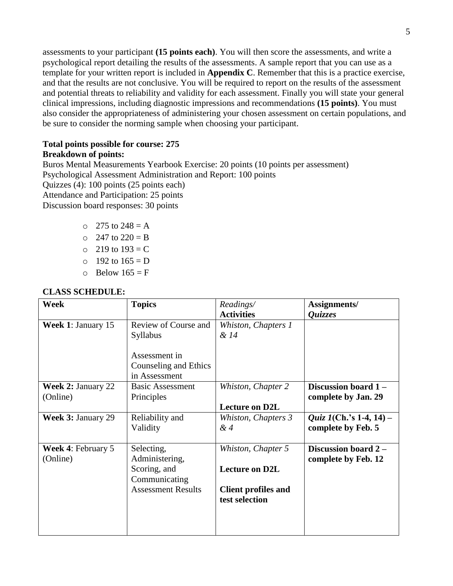assessments to your participant **(15 points each)**. You will then score the assessments, and write a psychological report detailing the results of the assessments. A sample report that you can use as a template for your written report is included in **Appendix C**. Remember that this is a practice exercise, and that the results are not conclusive. You will be required to report on the results of the assessment and potential threats to reliability and validity for each assessment. Finally you will state your general clinical impressions, including diagnostic impressions and recommendations **(15 points)**. You must also consider the appropriateness of administering your chosen assessment on certain populations, and be sure to consider the norming sample when choosing your participant.

### **Total points possible for course: 275 Breakdown of points:**

Buros Mental Measurements Yearbook Exercise: 20 points (10 points per assessment) Psychological Assessment Administration and Report: 100 points Quizzes (4): 100 points (25 points each) Attendance and Participation: 25 points Discussion board responses: 30 points

- $\circ$  275 to 248 = A
- $\degree$  247 to 220 = B
- $\circ$  219 to 193 = C
- $0 \t192$  to  $165 = D$
- $\circ$  Below 165 = F

# **CLASS SCHEDULE:**

| Week                                  | <b>Topics</b>                                                                              | Readings/<br><b>Activities</b>                                                              | Assignments/                                          |
|---------------------------------------|--------------------------------------------------------------------------------------------|---------------------------------------------------------------------------------------------|-------------------------------------------------------|
| <b>Week 1: January 15</b>             | Review of Course and<br>Syllabus                                                           | Whiston, Chapters 1<br>& 14                                                                 | <i><b>Quizzes</b></i>                                 |
|                                       | Assessment in<br>Counseling and Ethics<br>in Assessment                                    |                                                                                             |                                                       |
| <b>Week 2: January 22</b><br>(Online) | <b>Basic Assessment</b><br>Principles                                                      | Whiston, Chapter 2<br><b>Lecture on D2L</b>                                                 | Discussion board 1-<br>complete by Jan. 29            |
| Week 3: January 29                    | Reliability and<br>Validity                                                                | Whiston, Chapters 3<br>&4                                                                   | <i>Quiz 1</i> (Ch.'s 1-4, 14) –<br>complete by Feb. 5 |
| <b>Week 4: February 5</b><br>(Online) | Selecting,<br>Administering,<br>Scoring, and<br>Communicating<br><b>Assessment Results</b> | Whiston, Chapter 5<br><b>Lecture on D2L</b><br><b>Client profiles and</b><br>test selection | Discussion board 2 -<br>complete by Feb. 12           |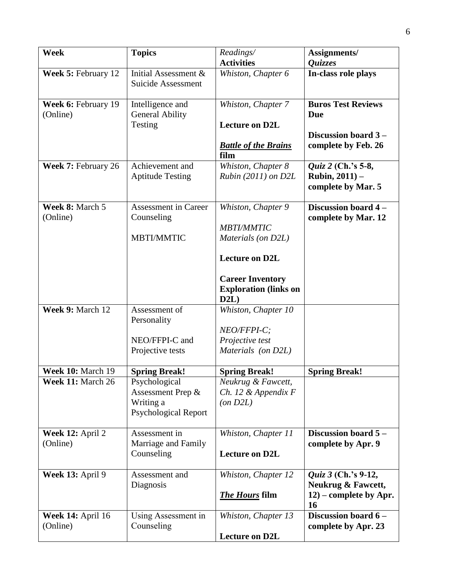| <b>Week</b>                          | <b>Topics</b>                                                                  | Readings/<br><b>Activities</b>                                                                                                                            | Assignments/<br><i><b>Ouizzes</b></i>                                                  |
|--------------------------------------|--------------------------------------------------------------------------------|-----------------------------------------------------------------------------------------------------------------------------------------------------------|----------------------------------------------------------------------------------------|
| Week 5: February 12                  | Initial Assessment &<br>Suicide Assessment                                     | Whiston, Chapter 6                                                                                                                                        | In-class role plays                                                                    |
| Week 6: February 19<br>(Online)      | Intelligence and<br><b>General Ability</b><br>Testing                          | Whiston, Chapter 7<br><b>Lecture on D2L</b><br><b>Battle of the Brains</b><br>film                                                                        | <b>Buros Test Reviews</b><br><b>Due</b><br>Discussion board 3 -<br>complete by Feb. 26 |
| Week 7: February 26                  | Achievement and<br><b>Aptitude Testing</b>                                     | Whiston, Chapter 8<br>$Rubin (2011)$ on $D2L$                                                                                                             | Quiz 2 (Ch.'s 5-8,<br><b>Rubin, 2011)</b> $-$<br>complete by Mar. 5                    |
| Week 8: March 5<br>(Online)          | <b>Assessment in Career</b><br>Counseling<br><b>MBTI/MMTIC</b>                 | Whiston, Chapter 9<br><b>MBTI/MMTIC</b><br>Materials (on D2L)<br><b>Lecture on D2L</b><br><b>Career Inventory</b><br><b>Exploration (links on</b><br>D2L) | Discussion board 4 -<br>complete by Mar. 12                                            |
| Week 9: March 12                     | Assessment of<br>Personality<br>NEO/FFPI-C and<br>Projective tests             | Whiston, Chapter 10<br>NEO/FFPI-C;<br>Projective test<br>Materials (on D2L)                                                                               |                                                                                        |
| Week 10: March 19                    | <b>Spring Break!</b>                                                           | <b>Spring Break!</b>                                                                                                                                      | <b>Spring Break!</b>                                                                   |
| Week 11: March 26                    | Psychological<br>Assessment Prep &<br>Writing a<br><b>Psychological Report</b> | Neukrug & Fawcett,<br>$Ch.$ 12 & Appendix $F$<br>(on D2L)                                                                                                 |                                                                                        |
| Week 12: April 2<br>(Online)         | Assessment in<br>Marriage and Family<br>Counseling                             | Whiston, Chapter 11<br><b>Lecture on D2L</b>                                                                                                              | Discussion board $5-$<br>complete by Apr. 9                                            |
| Week 13: April 9                     | Assessment and<br>Diagnosis                                                    | Whiston, Chapter 12<br><b>The Hours</b> film                                                                                                              | Quiz 3 (Ch.'s 9-12,<br>Neukrug & Fawcett,<br>$12$ ) – complete by Apr.<br>16           |
| <b>Week 14: April 16</b><br>(Online) | Using Assessment in<br>Counseling                                              | Whiston, Chapter 13<br><b>Lecture on D2L</b>                                                                                                              | Discussion board 6-<br>complete by Apr. 23                                             |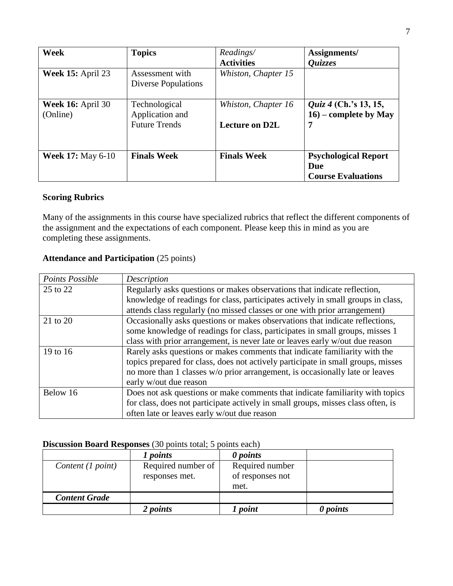| Week                                 | <b>Topics</b>                                            | Readings/<br><b>Activities</b>               | Assignments/<br>Quizzes                                         |
|--------------------------------------|----------------------------------------------------------|----------------------------------------------|-----------------------------------------------------------------|
| <b>Week 15: April 23</b>             | Assessment with<br><b>Diverse Populations</b>            | Whiston, Chapter 15                          |                                                                 |
| <b>Week 16:</b> April 30<br>(Online) | Technological<br>Application and<br><b>Future Trends</b> | Whiston, Chapter 16<br><b>Lecture on D2L</b> | <i>Quiz 4</i> (Ch.'s 13, 15,<br>$16$ – complete by May<br>7     |
| <b>Week 17: May 6-10</b>             | <b>Finals Week</b>                                       | <b>Finals Week</b>                           | <b>Psychological Report</b><br>Due<br><b>Course Evaluations</b> |

# **Scoring Rubrics**

Many of the assignments in this course have specialized rubrics that reflect the different components of the assignment and the expectations of each component. Please keep this in mind as you are completing these assignments.

# **Attendance and Participation** (25 points)

| Points Possible | Description                                                                      |
|-----------------|----------------------------------------------------------------------------------|
| 25 to 22        | Regularly asks questions or makes observations that indicate reflection,         |
|                 | knowledge of readings for class, participates actively in small groups in class, |
|                 | attends class regularly (no missed classes or one with prior arrangement)        |
| 21 to 20        | Occasionally asks questions or makes observations that indicate reflections,     |
|                 | some knowledge of readings for class, participates in small groups, misses 1     |
|                 | class with prior arrangement, is never late or leaves early w/out due reason     |
| 19 to 16        | Rarely asks questions or makes comments that indicate familiarity with the       |
|                 | topics prepared for class, does not actively participate in small groups, misses |
|                 | no more than 1 classes w/o prior arrangement, is occasionally late or leaves     |
|                 | early w/out due reason                                                           |
| Below 16        | Does not ask questions or make comments that indicate familiarity with topics    |
|                 | for class, does not participate actively in small groups, misses class often, is |
|                 | often late or leaves early w/out due reason                                      |

# **Discussion Board Responses** (30 points total; 5 points each)

|                      | 1 points           | 0 points         |          |
|----------------------|--------------------|------------------|----------|
| Content (1 point)    | Required number of | Required number  |          |
|                      | responses met.     | of responses not |          |
|                      |                    | met.             |          |
| <b>Content Grade</b> |                    |                  |          |
|                      | 2 points           | 1 point          | 0 points |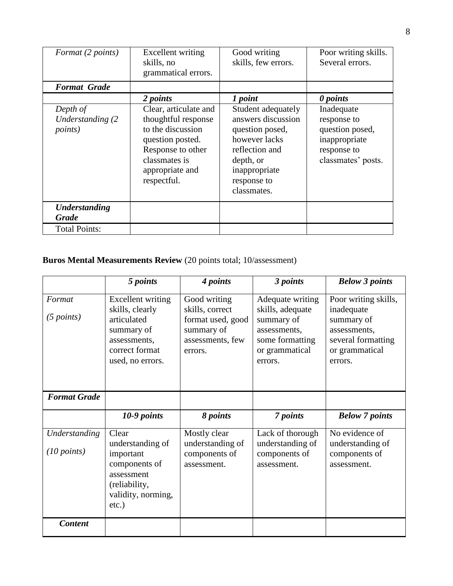| Format (2 points)                                | Excellent writing<br>skills, no<br>grammatical errors.                                                                                                        | Good writing<br>skills, few errors.                                                                                                                        | Poor writing skills.<br>Several errors.                                                            |
|--------------------------------------------------|---------------------------------------------------------------------------------------------------------------------------------------------------------------|------------------------------------------------------------------------------------------------------------------------------------------------------------|----------------------------------------------------------------------------------------------------|
| <b>Format Grade</b>                              |                                                                                                                                                               |                                                                                                                                                            |                                                                                                    |
|                                                  | 2 points                                                                                                                                                      | 1 point                                                                                                                                                    | 0 points                                                                                           |
| Depth of<br>Understanding (2)<br><i>points</i> ) | Clear, articulate and<br>thoughtful response<br>to the discussion<br>question posted.<br>Response to other<br>classmates is<br>appropriate and<br>respectful. | Student adequately<br>answers discussion<br>question posed,<br>however lacks<br>reflection and<br>depth, or<br>inappropriate<br>response to<br>classmates. | Inadequate<br>response to<br>question posed,<br>inappropriate<br>response to<br>classmates' posts. |
| <b>Understanding</b><br><b>Grade</b>             |                                                                                                                                                               |                                                                                                                                                            |                                                                                                    |
| <b>Total Points:</b>                             |                                                                                                                                                               |                                                                                                                                                            |                                                                                                    |

# **Buros Mental Measurements Review** (20 points total; 10/assessment)

|                              | 5 points                                                                                                                 | 4 points                                                                          | 3 points                                                                                       | <b>Below 3 points</b>                                                                       |
|------------------------------|--------------------------------------------------------------------------------------------------------------------------|-----------------------------------------------------------------------------------|------------------------------------------------------------------------------------------------|---------------------------------------------------------------------------------------------|
| Format                       | <b>Excellent writing</b>                                                                                                 | Good writing                                                                      | Adequate writing                                                                               | Poor writing skills,                                                                        |
| (5 points)                   | skills, clearly<br>articulated<br>summary of<br>assessments,<br>correct format<br>used, no errors.                       | skills, correct<br>format used, good<br>summary of<br>assessments, few<br>errors. | skills, adequate<br>summary of<br>assessments,<br>some formatting<br>or grammatical<br>errors. | inadequate<br>summary of<br>assessments.<br>several formatting<br>or grammatical<br>errors. |
| <b>Format Grade</b>          |                                                                                                                          |                                                                                   |                                                                                                |                                                                                             |
|                              | 10-9 points                                                                                                              | 8 points                                                                          | 7 points                                                                                       | <b>Below</b> 7 points                                                                       |
| Understanding<br>(10 points) | Clear<br>understanding of<br>important<br>components of<br>assessment<br>(reliability,<br>validity, norming,<br>$etc.$ ) | Mostly clear<br>understanding of<br>components of<br>assessment.                  | Lack of thorough<br>understanding of<br>components of<br>assessment.                           | No evidence of<br>understanding of<br>components of<br>assessment.                          |
|                              |                                                                                                                          |                                                                                   |                                                                                                |                                                                                             |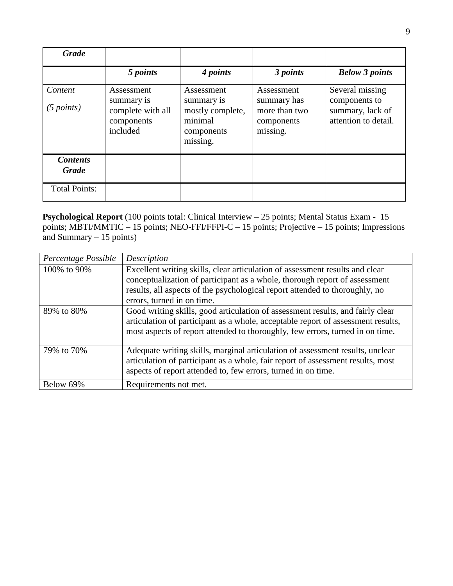| <b>Grade</b>                    |                                                                         |                                                                                   |                                                                      |                                                                              |
|---------------------------------|-------------------------------------------------------------------------|-----------------------------------------------------------------------------------|----------------------------------------------------------------------|------------------------------------------------------------------------------|
|                                 | 5 points                                                                | 4 points                                                                          | 3 points                                                             | <b>Below 3 points</b>                                                        |
| Content<br>(5 points)           | Assessment<br>summary is<br>complete with all<br>components<br>included | Assessment<br>summary is<br>mostly complete,<br>minimal<br>components<br>missing. | Assessment<br>summary has<br>more than two<br>components<br>missing. | Several missing<br>components to<br>summary, lack of<br>attention to detail. |
| <b>Contents</b><br><b>Grade</b> |                                                                         |                                                                                   |                                                                      |                                                                              |
| <b>Total Points:</b>            |                                                                         |                                                                                   |                                                                      |                                                                              |

**Psychological Report** (100 points total: Clinical Interview – 25 points; Mental Status Exam - 15 points; MBTI/MMTIC – 15 points; NEO-FFI/FFPI-C – 15 points; Projective – 15 points; Impressions and Summary – 15 points)

| Percentage Possible | Description                                                                                                                                                                                                                                         |
|---------------------|-----------------------------------------------------------------------------------------------------------------------------------------------------------------------------------------------------------------------------------------------------|
| 100\% to 90\%       | Excellent writing skills, clear articulation of assessment results and clear<br>conceptualization of participant as a whole, thorough report of assessment<br>results, all aspects of the psychological report attended to thoroughly, no           |
|                     | errors, turned in on time.                                                                                                                                                                                                                          |
| 89% to 80%          | Good writing skills, good articulation of assessment results, and fairly clear<br>articulation of participant as a whole, acceptable report of assessment results,<br>most aspects of report attended to thoroughly, few errors, turned in on time. |
| 79% to 70%          | Adequate writing skills, marginal articulation of assessment results, unclear<br>articulation of participant as a whole, fair report of assessment results, most<br>aspects of report attended to, few errors, turned in on time.                   |
| Below 69%           | Requirements not met.                                                                                                                                                                                                                               |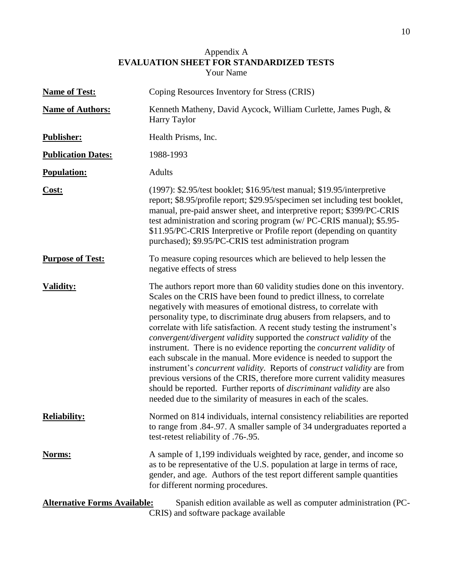# Appendix A **EVALUATION SHEET FOR STANDARDIZED TESTS** Your Name

| <b>Name of Test:</b>                | Coping Resources Inventory for Stress (CRIS)                                                                                                                                                                                                                                                                                                                                                                                                                                                                                                                                                                                                                                                                                                                                                                                                                                                                                        |
|-------------------------------------|-------------------------------------------------------------------------------------------------------------------------------------------------------------------------------------------------------------------------------------------------------------------------------------------------------------------------------------------------------------------------------------------------------------------------------------------------------------------------------------------------------------------------------------------------------------------------------------------------------------------------------------------------------------------------------------------------------------------------------------------------------------------------------------------------------------------------------------------------------------------------------------------------------------------------------------|
| <b>Name of Authors:</b>             | Kenneth Matheny, David Aycock, William Curlette, James Pugh, &<br>Harry Taylor                                                                                                                                                                                                                                                                                                                                                                                                                                                                                                                                                                                                                                                                                                                                                                                                                                                      |
| <b>Publisher:</b>                   | Health Prisms, Inc.                                                                                                                                                                                                                                                                                                                                                                                                                                                                                                                                                                                                                                                                                                                                                                                                                                                                                                                 |
| <b>Publication Dates:</b>           | 1988-1993                                                                                                                                                                                                                                                                                                                                                                                                                                                                                                                                                                                                                                                                                                                                                                                                                                                                                                                           |
| <b>Population:</b>                  | <b>Adults</b>                                                                                                                                                                                                                                                                                                                                                                                                                                                                                                                                                                                                                                                                                                                                                                                                                                                                                                                       |
| Cost:                               | (1997): \$2.95/test booklet; \$16.95/test manual; \$19.95/interpretive<br>report; \$8.95/profile report; \$29.95/specimen set including test booklet,<br>manual, pre-paid answer sheet, and interpretive report; \$399/PC-CRIS<br>test administration and scoring program (w/ PC-CRIS manual); \$5.95-<br>\$11.95/PC-CRIS Interpretive or Profile report (depending on quantity<br>purchased); \$9.95/PC-CRIS test administration program                                                                                                                                                                                                                                                                                                                                                                                                                                                                                           |
| <b>Purpose of Test:</b>             | To measure coping resources which are believed to help lessen the<br>negative effects of stress                                                                                                                                                                                                                                                                                                                                                                                                                                                                                                                                                                                                                                                                                                                                                                                                                                     |
| <b>Validity:</b>                    | The authors report more than 60 validity studies done on this inventory.<br>Scales on the CRIS have been found to predict illness, to correlate<br>negatively with measures of emotional distress, to correlate with<br>personality type, to discriminate drug abusers from relapsers, and to<br>correlate with life satisfaction. A recent study testing the instrument's<br>convergent/divergent validity supported the construct validity of the<br>instrument. There is no evidence reporting the <i>concurrent validity</i> of<br>each subscale in the manual. More evidence is needed to support the<br>instrument's <i>concurrent validity</i> . Reports of <i>construct validity</i> are from<br>previous versions of the CRIS, therefore more current validity measures<br>should be reported. Further reports of <i>discriminant validity</i> are also<br>needed due to the similarity of measures in each of the scales. |
| <b>Reliability:</b>                 | Normed on 814 individuals, internal consistency reliabilities are reported<br>to range from .84-.97. A smaller sample of 34 undergraduates reported a<br>test-retest reliability of .76-.95.                                                                                                                                                                                                                                                                                                                                                                                                                                                                                                                                                                                                                                                                                                                                        |
| <u>Norms:</u>                       | A sample of 1,199 individuals weighted by race, gender, and income so<br>as to be representative of the U.S. population at large in terms of race,<br>gender, and age. Authors of the test report different sample quantities<br>for different norming procedures.                                                                                                                                                                                                                                                                                                                                                                                                                                                                                                                                                                                                                                                                  |
| <b>Alternative Forms Available:</b> | Spanish edition available as well as computer administration (PC-<br>CRIS) and software package available                                                                                                                                                                                                                                                                                                                                                                                                                                                                                                                                                                                                                                                                                                                                                                                                                           |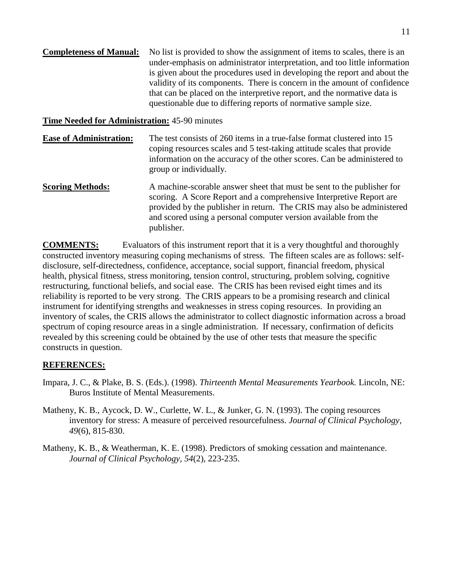**Completeness of Manual:** No list is provided to show the assignment of items to scales, there is an under-emphasis on administrator interpretation, and too little information is given about the procedures used in developing the report and about the validity of its components. There is concern in the amount of confidence that can be placed on the interpretive report, and the normative data is questionable due to differing reports of normative sample size.

# **Time Needed for Administration:** 45-90 minutes

- **Ease of Administration:** The test consists of 260 items in a true-false format clustered into 15 coping resources scales and 5 test-taking attitude scales that provide information on the accuracy of the other scores. Can be administered to group or individually.
- **Scoring Methods:** A machine-scorable answer sheet that must be sent to the publisher for scoring. A Score Report and a comprehensive Interpretive Report are provided by the publisher in return. The CRIS may also be administered and scored using a personal computer version available from the publisher.

**COMMENTS:** Evaluators of this instrument report that it is a very thoughtful and thoroughly constructed inventory measuring coping mechanisms of stress. The fifteen scales are as follows: selfdisclosure, self-directedness, confidence, acceptance, social support, financial freedom, physical health, physical fitness, stress monitoring, tension control, structuring, problem solving, cognitive restructuring, functional beliefs, and social ease. The CRIS has been revised eight times and its reliability is reported to be very strong. The CRIS appears to be a promising research and clinical instrument for identifying strengths and weaknesses in stress coping resources. In providing an inventory of scales, the CRIS allows the administrator to collect diagnostic information across a broad spectrum of coping resource areas in a single administration. If necessary, confirmation of deficits revealed by this screening could be obtained by the use of other tests that measure the specific constructs in question.

# **REFERENCES:**

- Impara, J. C., & Plake, B. S. (Eds.). (1998). *Thirteenth Mental Measurements Yearbook.* Lincoln, NE: Buros Institute of Mental Measurements.
- Matheny, K. B., Aycock, D. W., Curlette, W. L., & Junker, G. N. (1993). The coping resources inventory for stress: A measure of perceived resourcefulness. *Journal of Clinical Psychology, 49*(6), 815-830.
- Matheny, K. B., & Weatherman, K. E. (1998). Predictors of smoking cessation and maintenance. *Journal of Clinical Psychology, 54*(2), 223-235.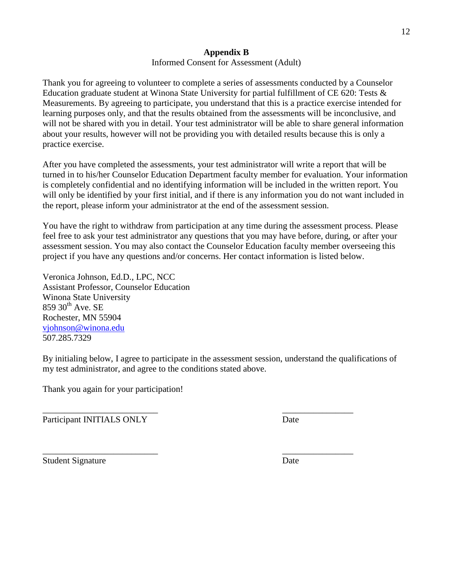# **Appendix B**

# Informed Consent for Assessment (Adult)

Thank you for agreeing to volunteer to complete a series of assessments conducted by a Counselor Education graduate student at Winona State University for partial fulfillment of CE 620: Tests & Measurements. By agreeing to participate, you understand that this is a practice exercise intended for learning purposes only, and that the results obtained from the assessments will be inconclusive, and will not be shared with you in detail. Your test administrator will be able to share general information about your results, however will not be providing you with detailed results because this is only a practice exercise.

After you have completed the assessments, your test administrator will write a report that will be turned in to his/her Counselor Education Department faculty member for evaluation. Your information is completely confidential and no identifying information will be included in the written report. You will only be identified by your first initial, and if there is any information you do not want included in the report, please inform your administrator at the end of the assessment session.

You have the right to withdraw from participation at any time during the assessment process. Please feel free to ask your test administrator any questions that you may have before, during, or after your assessment session. You may also contact the Counselor Education faculty member overseeing this project if you have any questions and/or concerns. Her contact information is listed below.

Veronica Johnson, Ed.D., LPC, NCC Assistant Professor, Counselor Education Winona State University  $859$   $30<sup>th</sup>$  Ave. SE Rochester, MN 55904 [vjohnson@winona.edu](mailto:vjohnson@winona.edu) 507.285.7329

By initialing below, I agree to participate in the assessment session, understand the qualifications of my test administrator, and agree to the conditions stated above.

\_\_\_\_\_\_\_\_\_\_\_\_\_\_\_\_\_\_\_\_\_\_\_\_\_\_ \_\_\_\_\_\_\_\_\_\_\_\_\_\_\_\_

\_\_\_\_\_\_\_\_\_\_\_\_\_\_\_\_\_\_\_\_\_\_\_\_\_\_ \_\_\_\_\_\_\_\_\_\_\_\_\_\_\_\_

Thank you again for your participation!

Participant INITIALS ONLY Date

Student Signature Date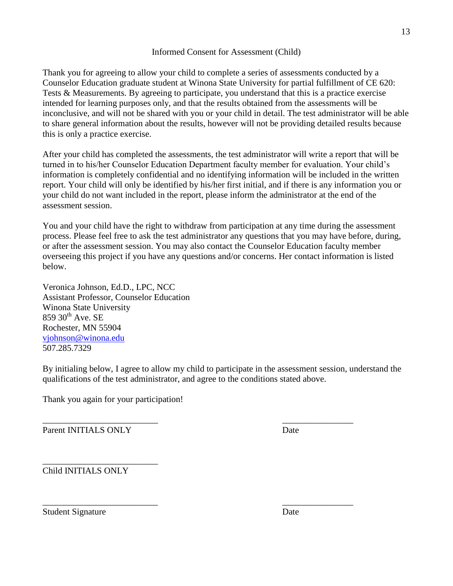Thank you for agreeing to allow your child to complete a series of assessments conducted by a Counselor Education graduate student at Winona State University for partial fulfillment of CE 620: Tests & Measurements. By agreeing to participate, you understand that this is a practice exercise intended for learning purposes only, and that the results obtained from the assessments will be inconclusive, and will not be shared with you or your child in detail. The test administrator will be able to share general information about the results, however will not be providing detailed results because this is only a practice exercise.

After your child has completed the assessments, the test administrator will write a report that will be turned in to his/her Counselor Education Department faculty member for evaluation. Your child's information is completely confidential and no identifying information will be included in the written report. Your child will only be identified by his/her first initial, and if there is any information you or your child do not want included in the report, please inform the administrator at the end of the assessment session.

You and your child have the right to withdraw from participation at any time during the assessment process. Please feel free to ask the test administrator any questions that you may have before, during, or after the assessment session. You may also contact the Counselor Education faculty member overseeing this project if you have any questions and/or concerns. Her contact information is listed below.

Veronica Johnson, Ed.D., LPC, NCC Assistant Professor, Counselor Education Winona State University 859 30<sup>th</sup> Ave. SE Rochester, MN 55904 [vjohnson@winona.edu](mailto:vjohnson@winona.edu) 507.285.7329

By initialing below, I agree to allow my child to participate in the assessment session, understand the qualifications of the test administrator, and agree to the conditions stated above.

\_\_\_\_\_\_\_\_\_\_\_\_\_\_\_\_\_\_\_\_\_\_\_\_\_\_ \_\_\_\_\_\_\_\_\_\_\_\_\_\_\_\_

Thank you again for your participation!

\_\_\_\_\_\_\_\_\_\_\_\_\_\_\_\_\_\_\_\_\_\_\_\_\_\_ \_\_\_\_\_\_\_\_\_\_\_\_\_\_\_\_ Parent INITIALS ONLY Date

Child INITIALS ONLY

\_\_\_\_\_\_\_\_\_\_\_\_\_\_\_\_\_\_\_\_\_\_\_\_\_\_

Student Signature Date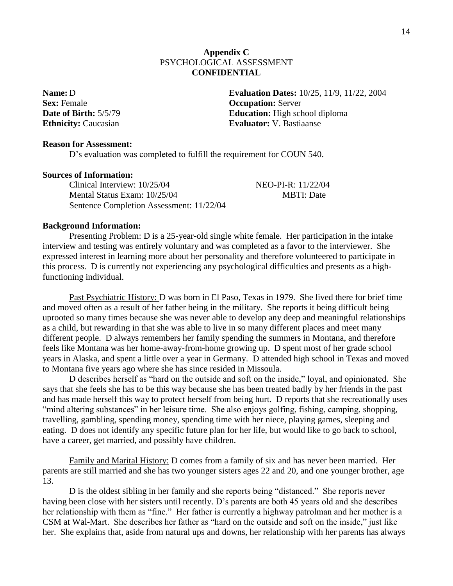# **Appendix C** PSYCHOLOGICAL ASSESSMENT **CONFIDENTIAL**

**Sex:** Female **Occupation:** Server

**Name:** D **Evaluation Dates:**  $10/25$ ,  $11/9$ ,  $11/22$ ,  $2004$ **Date of Birth:**  $5/5/79$  **Education:** High school diploma **Ethnicity:** Caucasian **Evaluator: V. Bastiaanse** 

# **Reason for Assessment:**

D's evaluation was completed to fulfill the requirement for COUN 540.

### **Sources of Information:**

Clinical Interview: 10/25/04 NEO-PI-R: 11/22/04 Mental Status Exam:  $10/25/04$  MBTI: Date Sentence Completion Assessment: 11/22/04

### **Background Information:**

Presenting Problem: D is a 25-year-old single white female. Her participation in the intake interview and testing was entirely voluntary and was completed as a favor to the interviewer. She expressed interest in learning more about her personality and therefore volunteered to participate in this process. D is currently not experiencing any psychological difficulties and presents as a highfunctioning individual.

Past Psychiatric History: D was born in El Paso, Texas in 1979. She lived there for brief time and moved often as a result of her father being in the military. She reports it being difficult being uprooted so many times because she was never able to develop any deep and meaningful relationships as a child, but rewarding in that she was able to live in so many different places and meet many different people. D always remembers her family spending the summers in Montana, and therefore feels like Montana was her home-away-from-home growing up. D spent most of her grade school years in Alaska, and spent a little over a year in Germany. D attended high school in Texas and moved to Montana five years ago where she has since resided in Missoula.

D describes herself as "hard on the outside and soft on the inside," loyal, and opinionated. She says that she feels she has to be this way because she has been treated badly by her friends in the past and has made herself this way to protect herself from being hurt. D reports that she recreationally uses "mind altering substances" in her leisure time. She also enjoys golfing, fishing, camping, shopping, travelling, gambling, spending money, spending time with her niece, playing games, sleeping and eating. D does not identify any specific future plan for her life, but would like to go back to school, have a career, get married, and possibly have children.

Family and Marital History: D comes from a family of six and has never been married. Her parents are still married and she has two younger sisters ages 22 and 20, and one younger brother, age 13.

D is the oldest sibling in her family and she reports being "distanced." She reports never having been close with her sisters until recently. D's parents are both 45 years old and she describes her relationship with them as "fine." Her father is currently a highway patrolman and her mother is a CSM at Wal-Mart. She describes her father as "hard on the outside and soft on the inside," just like her. She explains that, aside from natural ups and downs, her relationship with her parents has always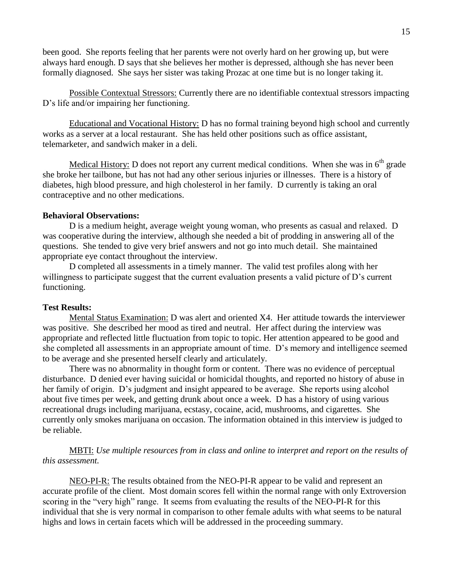been good. She reports feeling that her parents were not overly hard on her growing up, but were always hard enough. D says that she believes her mother is depressed, although she has never been formally diagnosed. She says her sister was taking Prozac at one time but is no longer taking it.

Possible Contextual Stressors: Currently there are no identifiable contextual stressors impacting D's life and/or impairing her functioning.

Educational and Vocational History: D has no formal training beyond high school and currently works as a server at a local restaurant. She has held other positions such as office assistant, telemarketer, and sandwich maker in a deli.

Medical History: D does not report any current medical conditions. When she was in  $6<sup>th</sup>$  grade she broke her tailbone, but has not had any other serious injuries or illnesses. There is a history of diabetes, high blood pressure, and high cholesterol in her family. D currently is taking an oral contraceptive and no other medications.

# **Behavioral Observations:**

D is a medium height, average weight young woman, who presents as casual and relaxed. D was cooperative during the interview, although she needed a bit of prodding in answering all of the questions. She tended to give very brief answers and not go into much detail. She maintained appropriate eye contact throughout the interview.

D completed all assessments in a timely manner. The valid test profiles along with her willingness to participate suggest that the current evaluation presents a valid picture of D's current functioning.

### **Test Results:**

Mental Status Examination: D was alert and oriented X4. Her attitude towards the interviewer was positive. She described her mood as tired and neutral. Her affect during the interview was appropriate and reflected little fluctuation from topic to topic. Her attention appeared to be good and she completed all assessments in an appropriate amount of time. D's memory and intelligence seemed to be average and she presented herself clearly and articulately.

There was no abnormality in thought form or content. There was no evidence of perceptual disturbance. D denied ever having suicidal or homicidal thoughts, and reported no history of abuse in her family of origin. D's judgment and insight appeared to be average. She reports using alcohol about five times per week, and getting drunk about once a week. D has a history of using various recreational drugs including marijuana, ecstasy, cocaine, acid, mushrooms, and cigarettes. She currently only smokes marijuana on occasion. The information obtained in this interview is judged to be reliable.

MBTI: *Use multiple resources from in class and online to interpret and report on the results of this assessment.* 

NEO-PI-R: The results obtained from the NEO-PI-R appear to be valid and represent an accurate profile of the client. Most domain scores fell within the normal range with only Extroversion scoring in the "very high" range. It seems from evaluating the results of the NEO-PI-R for this individual that she is very normal in comparison to other female adults with what seems to be natural highs and lows in certain facets which will be addressed in the proceeding summary.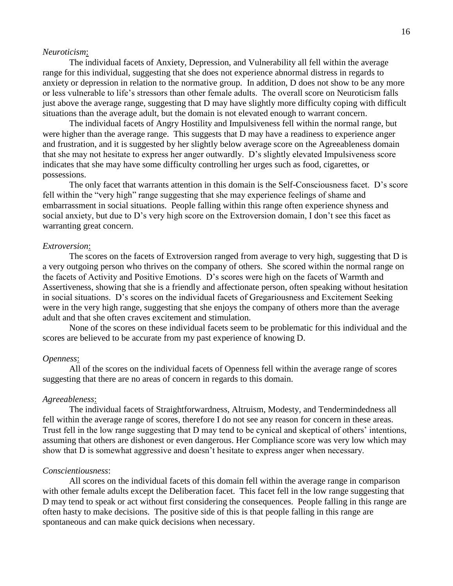### *Neuroticism*:

The individual facets of Anxiety, Depression, and Vulnerability all fell within the average range for this individual, suggesting that she does not experience abnormal distress in regards to anxiety or depression in relation to the normative group. In addition, D does not show to be any more or less vulnerable to life's stressors than other female adults. The overall score on Neuroticism falls just above the average range, suggesting that D may have slightly more difficulty coping with difficult situations than the average adult, but the domain is not elevated enough to warrant concern.

The individual facets of Angry Hostility and Impulsiveness fell within the normal range, but were higher than the average range. This suggests that D may have a readiness to experience anger and frustration, and it is suggested by her slightly below average score on the Agreeableness domain that she may not hesitate to express her anger outwardly. D's slightly elevated Impulsiveness score indicates that she may have some difficulty controlling her urges such as food, cigarettes, or possessions.

The only facet that warrants attention in this domain is the Self-Consciousness facet. D's score fell within the "very high" range suggesting that she may experience feelings of shame and embarrassment in social situations. People falling within this range often experience shyness and social anxiety, but due to D's very high score on the Extroversion domain, I don't see this facet as warranting great concern.

### *Extroversion*:

The scores on the facets of Extroversion ranged from average to very high, suggesting that D is a very outgoing person who thrives on the company of others. She scored within the normal range on the facets of Activity and Positive Emotions. D's scores were high on the facets of Warmth and Assertiveness, showing that she is a friendly and affectionate person, often speaking without hesitation in social situations. D's scores on the individual facets of Gregariousness and Excitement Seeking were in the very high range, suggesting that she enjoys the company of others more than the average adult and that she often craves excitement and stimulation.

None of the scores on these individual facets seem to be problematic for this individual and the scores are believed to be accurate from my past experience of knowing D.

### *Openness*:

All of the scores on the individual facets of Openness fell within the average range of scores suggesting that there are no areas of concern in regards to this domain.

### *Agreeableness*:

The individual facets of Straightforwardness, Altruism, Modesty, and Tendermindedness all fell within the average range of scores, therefore I do not see any reason for concern in these areas. Trust fell in the low range suggesting that D may tend to be cynical and skeptical of others' intentions, assuming that others are dishonest or even dangerous. Her Compliance score was very low which may show that D is somewhat aggressive and doesn't hesitate to express anger when necessary.

#### *Conscientiousness*:

All scores on the individual facets of this domain fell within the average range in comparison with other female adults except the Deliberation facet. This facet fell in the low range suggesting that D may tend to speak or act without first considering the consequences. People falling in this range are often hasty to make decisions. The positive side of this is that people falling in this range are spontaneous and can make quick decisions when necessary.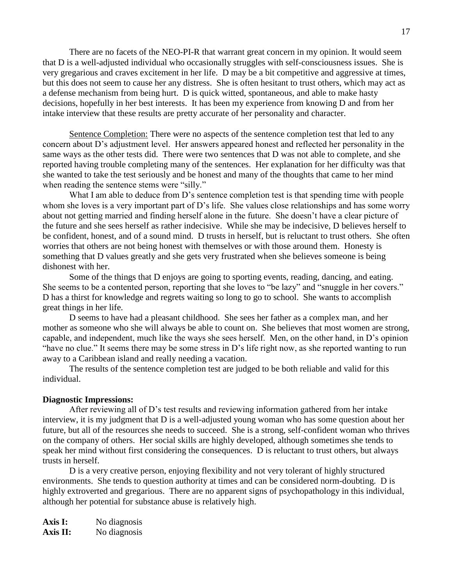There are no facets of the NEO-PI-R that warrant great concern in my opinion. It would seem that D is a well-adjusted individual who occasionally struggles with self-consciousness issues. She is very gregarious and craves excitement in her life. D may be a bit competitive and aggressive at times, but this does not seem to cause her any distress. She is often hesitant to trust others, which may act as a defense mechanism from being hurt. D is quick witted, spontaneous, and able to make hasty decisions, hopefully in her best interests. It has been my experience from knowing D and from her intake interview that these results are pretty accurate of her personality and character.

Sentence Completion: There were no aspects of the sentence completion test that led to any concern about D's adjustment level. Her answers appeared honest and reflected her personality in the same ways as the other tests did. There were two sentences that D was not able to complete, and she reported having trouble completing many of the sentences. Her explanation for her difficulty was that she wanted to take the test seriously and be honest and many of the thoughts that came to her mind when reading the sentence stems were "silly."

What I am able to deduce from D's sentence completion test is that spending time with people whom she loves is a very important part of D's life. She values close relationships and has some worry about not getting married and finding herself alone in the future. She doesn't have a clear picture of the future and she sees herself as rather indecisive. While she may be indecisive, D believes herself to be confident, honest, and of a sound mind. D trusts in herself, but is reluctant to trust others. She often worries that others are not being honest with themselves or with those around them. Honesty is something that D values greatly and she gets very frustrated when she believes someone is being dishonest with her.

Some of the things that D enjoys are going to sporting events, reading, dancing, and eating. She seems to be a contented person, reporting that she loves to "be lazy" and "snuggle in her covers." D has a thirst for knowledge and regrets waiting so long to go to school. She wants to accomplish great things in her life.

D seems to have had a pleasant childhood. She sees her father as a complex man, and her mother as someone who she will always be able to count on. She believes that most women are strong, capable, and independent, much like the ways she sees herself. Men, on the other hand, in D's opinion "have no clue." It seems there may be some stress in D's life right now, as she reported wanting to run away to a Caribbean island and really needing a vacation.

The results of the sentence completion test are judged to be both reliable and valid for this individual.

### **Diagnostic Impressions:**

After reviewing all of D's test results and reviewing information gathered from her intake interview, it is my judgment that D is a well-adjusted young woman who has some question about her future, but all of the resources she needs to succeed. She is a strong, self-confident woman who thrives on the company of others. Her social skills are highly developed, although sometimes she tends to speak her mind without first considering the consequences. D is reluctant to trust others, but always trusts in herself.

D is a very creative person, enjoying flexibility and not very tolerant of highly structured environments. She tends to question authority at times and can be considered norm-doubting. D is highly extroverted and gregarious. There are no apparent signs of psychopathology in this individual, although her potential for substance abuse is relatively high.

**Axis I:** No diagnosis Axis II: No diagnosis